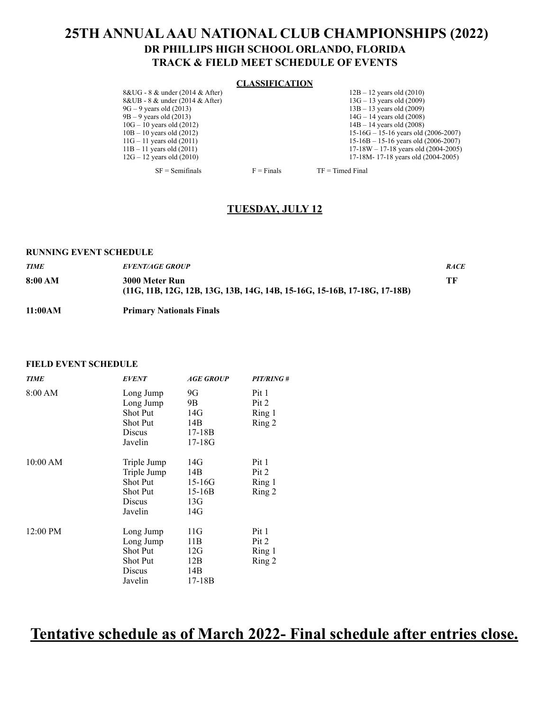## **25TH ANNUAL AAU NATIONAL CLUB CHAMPIONSHIPS (2022) DR PHILLIPS HIGH SCHOOL ORLANDO, FLORIDA TRACK & FIELD MEET SCHEDULE OF EVENTS**

#### **CLASSIFICATION**

8&UG - 8 & under (2014 & After) 12B – 12 years old (2010)<br>8&UB - 8 & under (2014 & After) 13G – 13 years old (2009) 8&UB - 8 & under (2014 & After)<br>9G – 9 years old (2013)  $9G - 9$  years old (2013) 13B – 13 years old (2009)<br>  $9B - 9$  years old (2013) 14G – 14 years old (2008)  $9B - 9$  years old (2013)  $14G - 14$  years old (2008)<br> $10G - 10$  years old (2012)  $14B - 14$  years old (2008) 10G – 10 years old (2012) 14B – 14 years old (2008)<br>
10B – 10 years old (2012) 15-16G – 15-16 years old

10B – 10 years old (2012)<br>
11G – 11 years old (2011)<br>
15-16B – 15-16 years old (2006-2007)<br>
15-16B – 15-16 years old (2006-2007) 11G – 11 years old (2011)<br>
11G – 11 years old (2011)<br>
11G – 11 years old (2001)<br>
17-18W – 17-18 years old (2004-2005) 11B – 11 years old (2011) 17-18W – 17-18 years old (2004-2005)<br>12G – 12 years old (2010) 17-18M – 17-18 years old (2004-2005) 17-18M- 17-18 years old (2004-2005)

 $SF = Semifinals$   $F = Finals$  TF = Timed Final

### **TUESDAY, JULY 12**

#### **RUNNING EVENT SCHEDULE**

| <b>TIME</b> | <b>EVENT/AGE GROUP</b>                                                                       | <b>RACE</b> |
|-------------|----------------------------------------------------------------------------------------------|-------------|
| 8:00 AM     | 3000 Meter Run<br>$(11G, 11B, 12G, 12B, 13G, 13B, 14G, 14B, 15-16G, 15-16B, 17-18G, 17-18B)$ | ŦF          |
| 11:00AM     | <b>Primary Nationals Finals</b>                                                              |             |

#### **FIELD EVENT SCHEDULE**

| <b>TIME</b> | <b>EVENT</b>    | <b>AGE GROUP</b> | PIT/RING# |
|-------------|-----------------|------------------|-----------|
| 8:00 AM     | Long Jump       | 9G               | Pit 1     |
|             | Long Jump       | 9B               | Pit 2     |
|             | <b>Shot Put</b> | 14G              | Ring 1    |
|             | <b>Shot Put</b> | 14B              | Ring 2    |
|             | Discus          | $17-18B$         |           |
|             | Javelin         | $17-18G$         |           |
| 10:00 AM    | Triple Jump     | 14G              | Pit 1     |
|             | Triple Jump     | 14B              | Pit 2     |
|             | Shot Put        | $15 - 16G$       | Ring 1    |
|             | <b>Shot Put</b> | $15 - 16B$       | Ring 2    |
|             | Discus          | 13G              |           |
|             | Javelin         | 14G              |           |
| 12:00 PM    | Long Jump       | 11G              | Pit 1     |
|             | Long Jump       | 11B              | Pit 2     |
|             | <b>Shot Put</b> | 12G              | Ring 1    |
|             | <b>Shot Put</b> | 12B              | Ring 2    |
|             | Discus          | 14B              |           |
|             | Javelin         | 17-18B           |           |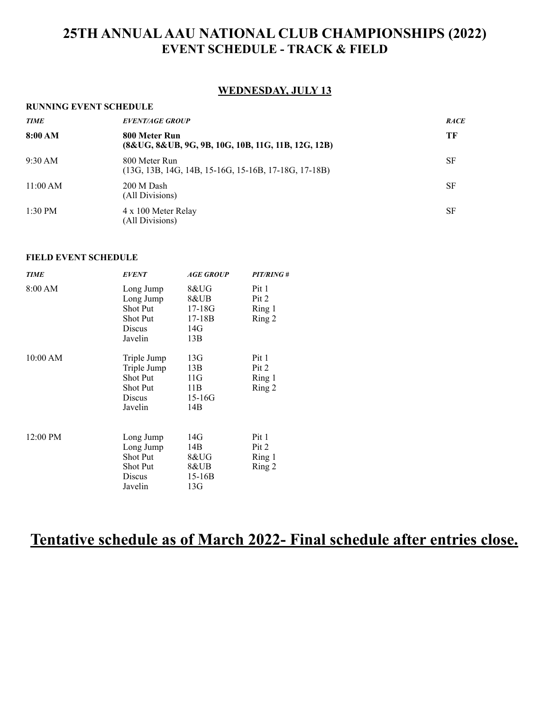### **WEDNESDAY, JULY 13**

#### **RUNNING EVENT SCHEDULE**

| <b>TIME</b> | <b>EVENT/AGE GROUP</b>                                                  | <b>RACE</b> |
|-------------|-------------------------------------------------------------------------|-------------|
| 8:00 AM     | 800 Meter Run<br>(8&UG, 8&UB, 9G, 9B, 10G, 10B, 11G, 11B, 12G, 12B)     | ТF          |
| 9:30 AM     | 800 Meter Run<br>$(13G, 13B, 14G, 14B, 15-16G, 15-16B, 17-18G, 17-18B)$ | SF          |
| 11:00 AM    | 200 M Dash<br>(All Divisions)                                           | <b>SF</b>   |
| $1:30$ PM   | 4 x 100 Meter Relay<br>(All Divisions)                                  | <b>SF</b>   |

### **FIELD EVENT SCHEDULE**

| <b>TIME</b> | <b>EVENT</b>    | <b>AGE GROUP</b> | PIT/RING# |
|-------------|-----------------|------------------|-----------|
| 8:00 AM     | Long Jump       | 8&UG             | Pit 1     |
|             | Long Jump       | 8&UB             | Pit 2     |
|             | <b>Shot Put</b> | $17 - 18G$       | Ring 1    |
|             | <b>Shot Put</b> | $17-18B$         | Ring 2    |
|             | Discus          | 14G              |           |
|             | Javelin         | 13B              |           |
| 10:00 AM    | Triple Jump     | 13G              | Pit 1     |
|             | Triple Jump     | 13B              | Pit 2     |
|             | Shot Put        | 11G              | Ring 1    |
|             | <b>Shot Put</b> | 11B              | Ring 2    |
|             | Discus          | $15 - 16G$       |           |
|             | Javelin         | 14B              |           |
| 12:00 PM    | Long Jump       | 14G              | Pit 1     |
|             | Long Jump       | 14B              | Pit 2     |
|             | <b>Shot Put</b> | 8&UG             | Ring 1    |
|             | <b>Shot Put</b> | 8&UB             | Ring 2    |
|             | Discus          | $15 - 16B$       |           |
|             | Javelin         | 13G              |           |
|             |                 |                  |           |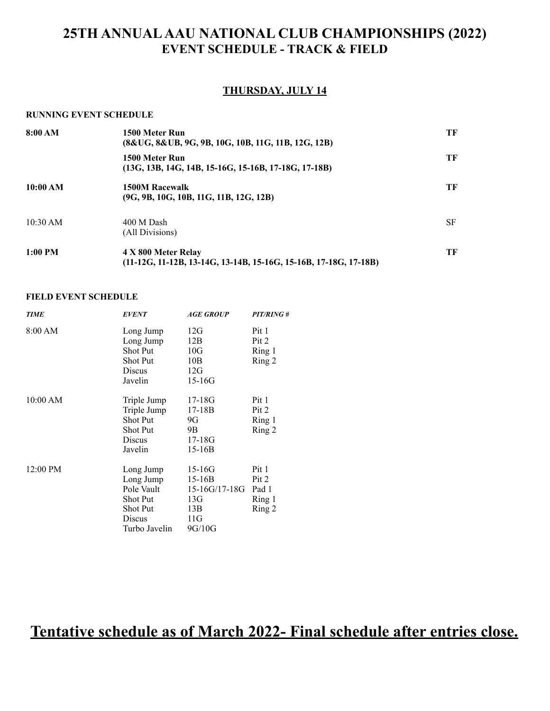### **THURSDAY, JULY 14**

#### **RUNNING EVENT SCHEDULE**

| 8:00 AM  | 1500 Meter Run<br>(8&UG, 8&UB, 9G, 9B, 10G, 10B, 11G, 11B, 12G, 12B)                      | ТF        |
|----------|-------------------------------------------------------------------------------------------|-----------|
|          | 1500 Meter Run<br>$(13G, 13B, 14G, 14B, 15-16G, 15-16B, 17-18G, 17-18B)$                  | ТF        |
| 10:00 AM | 1500M Racewalk<br>$(9G, 9B, 10G, 10B, 11G, 11B, 12G, 12B)$                                | ТF        |
| 10:30 AM | 400 M Dash<br>(All Divisions)                                                             | <b>SF</b> |
| 1:00 PM  | 4 X 800 Meter Relay<br>$(11-12G, 11-12B, 13-14G, 13-14B, 15-16G, 15-16B, 17-18G, 17-18B)$ | ТF        |

#### **FIELD EVENT SCHEDULE**

| <b>TIME</b> | <b>EVENT</b>    | <b>AGE GROUP</b> | <b>PIT/RING#</b> |
|-------------|-----------------|------------------|------------------|
| 8:00 AM     | Long Jump       | 12G              | Pit 1            |
|             | Long Jump       | 12B              | Pit 2            |
|             | Shot Put        | 10G              | Ring 1           |
|             | <b>Shot Put</b> | 10B              | Ring 2           |
|             | Discus          | 12G              |                  |
|             | Javelin         | $15 - 16G$       |                  |
| 10:00 AM    | Triple Jump     | $17 - 18G$       | Pit 1            |
|             | Triple Jump     | 17-18B           | Pit 2            |
|             | <b>Shot Put</b> | 9G               | Ring 1           |
|             | Shot Put        | 9Β               | Ring 2           |
|             | Discus          | 17-18G           |                  |
|             | Javelin         | $15-16B$         |                  |
| 12:00 PM    | Long Jump       | $15-16G$         | Pit 1            |
|             | Long Jump       | $15 - 16B$       | Pit 2            |
|             | Pole Vault      | 15-16G/17-18G    | Pad 1            |
|             | Shot Put        | 13G              | Ring 1           |
|             | <b>Shot Put</b> | 13B              | Ring 2           |
|             | Discus          | 11G              |                  |
|             | Turbo Javelin   | 9G/10G           |                  |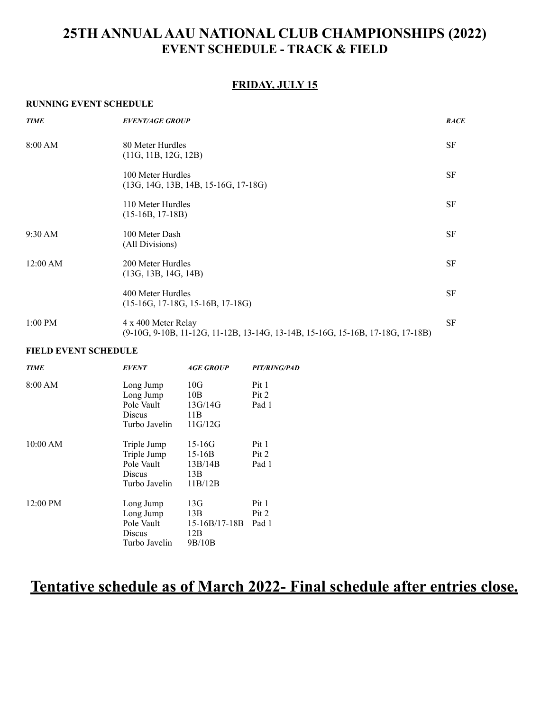### **FRIDAY, JULY 15**

#### **RUNNING EVENT SCHEDULE**

| <b>TIME</b> | <b>EVENT/AGE GROUP</b>                                                                                | <b>RACE</b> |
|-------------|-------------------------------------------------------------------------------------------------------|-------------|
| 8:00 AM     | 80 Meter Hurdles<br>(11G, 11B, 12G, 12B)                                                              | SF          |
|             | 100 Meter Hurdles<br>$(13G, 14G, 13B, 14B, 15-16G, 17-18G)$                                           | SF          |
|             | 110 Meter Hurdles<br>$(15-16B, 17-18B)$                                                               | <b>SF</b>   |
| $9:30$ AM   | 100 Meter Dash<br>(All Divisions)                                                                     | <b>SF</b>   |
| 12:00 AM    | 200 Meter Hurdles<br>(13G, 13B, 14G, 14B)                                                             | <b>SF</b>   |
|             | 400 Meter Hurdles<br>$(15-16G, 17-18G, 15-16B, 17-18G)$                                               | <b>SF</b>   |
| $1:00$ PM   | 4 x 400 Meter Relay<br>(9-10G, 9-10B, 11-12G, 11-12B, 13-14G, 13-14B, 15-16G, 15-16B, 17-18G, 17-18B) | <b>SF</b>   |

#### **FIELD EVENT SCHEDULE**

| <b>TIME</b> | <b>EVENT</b>  | <i><b>AGE GROUP</b></i> | PIT/RING/PAD |
|-------------|---------------|-------------------------|--------------|
| 8:00 AM     | Long Jump     | 10G                     | Pit 1        |
|             | Long Jump     | 10B                     | Pit 2        |
|             | Pole Vault    | 13G/14G                 | Pad 1        |
|             | Discus        | 11B                     |              |
|             | Turbo Javelin | 11G/12G                 |              |
| 10:00 AM    | Triple Jump   | $15 - 16G$              | Pit 1        |
|             | Triple Jump   | $15 - 16B$              | Pit 2        |
|             | Pole Vault    | 13B/14B                 | Pad 1        |
|             | Discus        | 13B                     |              |
|             | Turbo Javelin | 11B/12B                 |              |
| 12:00 PM    | Long Jump     | 13G                     | Pit 1        |
|             | Long Jump     | 13B                     | Pit 2        |
|             | Pole Vault    | $15 - 16B/17 - 18B$     | Pad 1        |
|             | Discus        | 12B                     |              |
|             | Turbo Javelin | 9B/10B                  |              |